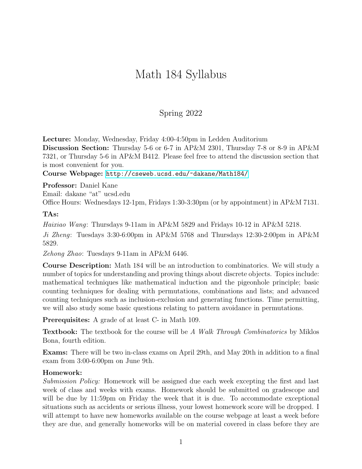## Math 184 Syllabus

## Spring 2022

Lecture: Monday, Wednesday, Friday 4:00-4:50pm in Ledden Auditorium Discussion Section: Thursday 5-6 or 6-7 in AP&M 2301, Thursday 7-8 or 8-9 in AP&M 7321, or Thursday 5-6 in AP&M B412. Please feel free to attend the discussion section that is most convenient for you.

Course Webpage: <http://cseweb.ucsd.edu/~dakane/Math184/>

Professor: Daniel Kane Email: dakane "at" ucsd.edu Office Hours: Wednesdays 12-1pm, Fridays 1:30-3:30pm (or by appointment) in AP&M 7131.

## TAs:

Haixiao Wang: Thursdays 9-11am in AP&M 5829 and Fridays 10-12 in AP&M 5218.

Ji Zheng: Tuesdays 3:30-6:00pm in AP&M 5768 and Thursdays 12:30-2:00pm in AP&M 5829.

Zehong Zhao: Tuesdays 9-11am in AP&M 6446.

Course Description: Math 184 will be an introduction to combinatorics. We will study a number of topics for understanding and proving things about discrete objects. Topics include: mathematical techniques like mathematical induction and the pigeonhole principle; basic counting techniques for dealing with permutations, combinations and lists; and advanced counting techniques such as inclusion-exclusion and generating functions. Time permitting, we will also study some basic questions relating to pattern avoidance in permutations.

Prerequisites: A grade of at least C- in Math 109.

Textbook: The textbook for the course will be A Walk Through Combinatorics by Miklos Bona, fourth edition.

Exams: There will be two in-class exams on April 29th, and May 20th in addition to a final exam from 3:00-6:00pm on June 9th.

## Homework:

Submission Policy: Homework will be assigned due each week excepting the first and last week of class and weeks with exams. Homework should be submitted on gradescope and will be due by 11:59pm on Friday the week that it is due. To accommodate exceptional situations such as accidents or serious illness, your lowest homework score will be dropped. I will attempt to have new homeworks available on the course webpage at least a week before they are due, and generally homeworks will be on material covered in class before they are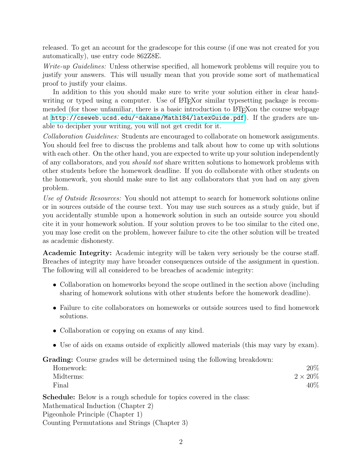released. To get an account for the gradescope for this course (if one was not created for you automatically), use entry code 862Z8E.

Write-up Guidelines: Unless otherwise specified, all homework problems will require you to justify your answers. This will usually mean that you provide some sort of mathematical proof to justify your claims.

In addition to this you should make sure to write your solution either in clear handwriting or typed using a computer. Use of LAT<sub>EX</sub> or similar typesetting package is recommended (for those unfamiliar, there is a basic introduction to LATEX on the course webpage at <http://cseweb.ucsd.edu/~dakane/Math184/latexGuide.pdf>). If the graders are unable to decipher your writing, you will not get credit for it.

Collaboration Guidelines: Students are encouraged to collaborate on homework assignments. You should feel free to discuss the problems and talk about how to come up with solutions with each other. On the other hand, you are expected to write up your solution independently of any collaborators, and you should not share written solutions to homework problems with other students before the homework deadline. If you do collaborate with other students on the homework, you should make sure to list any collaborators that you had on any given problem.

Use of Outside Resources: You should not attempt to search for homework solutions online or in sources outside of the course text. You may use such sources as a study guide, but if you accidentally stumble upon a homework solution in such an outside source you should cite it in your homework solution. If your solution proves to be too similar to the cited one, you may lose credit on the problem, however failure to cite the other solution will be treated as academic dishonesty.

Academic Integrity: Academic integrity will be taken very seriously be the course staff. Breaches of integrity may have broader consequences outside of the assignment in question. The following will all considered to be breaches of academic integrity:

- Collaboration on homeworks beyond the scope outlined in the section above (including sharing of homework solutions with other students before the homework deadline).
- Failure to cite collaborators on homeworks or outside sources used to find homework solutions.
- Collaboration or copying on exams of any kind.
- Use of aids on exams outside of explicitly allowed materials (this may vary by exam).

Grading: Course grades will be determined using the following breakdown:

| Homework: | 20%            |
|-----------|----------------|
| Midterms: | $2\times 20\%$ |
| Final     | 40\%           |

Schedule: Below is a rough schedule for topics covered in the class: Mathematical Induction (Chapter 2) Pigeonhole Principle (Chapter 1) Counting Permutations and Strings (Chapter 3)